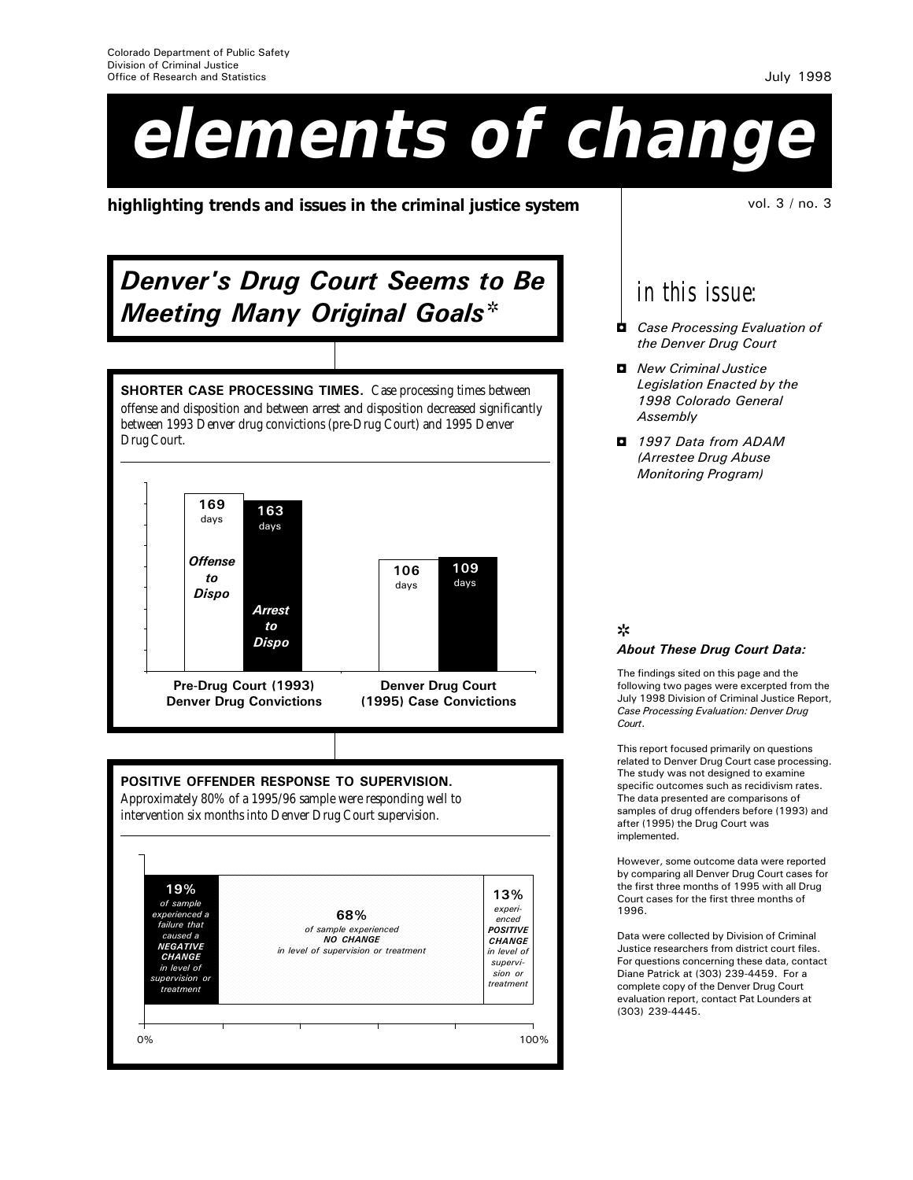# **elements of change**

**highlighting trends and issues in the criminal justice system** vol. 3 / no. 3

## Denver's Drug Court Seems to Be **Meeting Many Original Goals\***

169 SHORTER CASE PROCESSING TIMES. Case processing times between offense and disposition and between arrest and disposition decreased significantly between 1993 Denver drug convictions (pre-Drug Court) and 1995 Denver Drug Court.



POSITIVE OFFENDER RESPONSE TO SUPERVISION.

Approximately 80% of a 1995/96 sample were responding well to intervention six months into Denver Drug Court supervision.



*in this issue:*

- **D** Case Processing Evaluation of the Denver Drug Court
- **D** New Criminal Justice Legislation Enacted by the 1998 Colorado General **Assembly**
- 1997 Data from ADAM (Arrestee Drug Abuse Monitoring Program)

#### s About These Drug Court Data:

The findings sited on this page and the following two pages were excerpted from the July 1998 Division of Criminal Justice Report, Case Processing Evaluation: Denver Drug Court.

This report focused primarily on questions related to Denver Drug Court case processing. The study was not designed to examine specific outcomes such as recidivism rates. The data presented are comparisons of samples of drug offenders before (1993) and after (1995) the Drug Court was implemented.

However, some outcome data were reported by comparing all Denver Drug Court cases for the first three months of 1995 with all Drug Court cases for the first three months of 1996.

Data were collected by Division of Criminal Justice researchers from district court files. For questions concerning these data, contact Diane Patrick at (303) 239-4459. For a complete copy of the Denver Drug Court evaluation report, contact Pat Lounders at (303) 239-4445.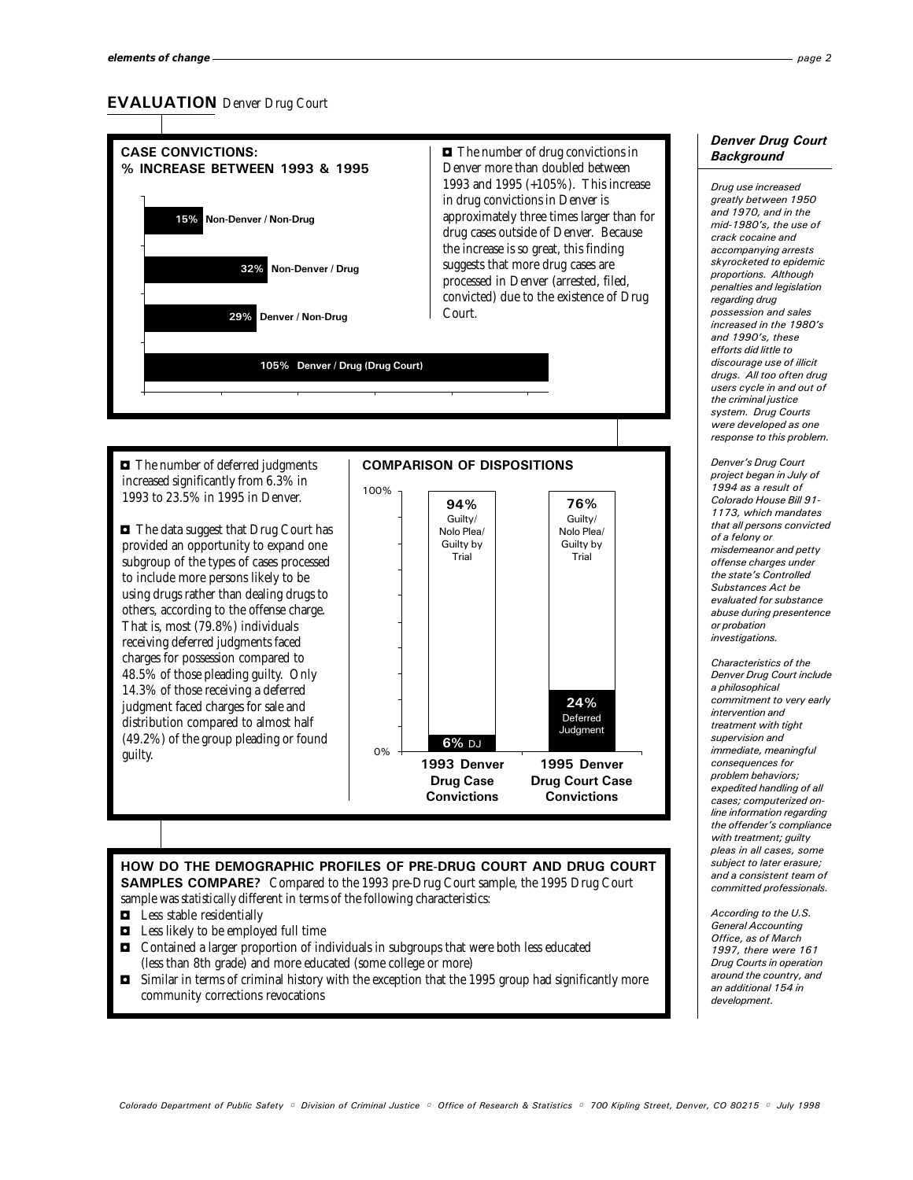#### EVALUATION Denver Drug Court



increased significantly from 6.3% in 1993 to 23.5% in 1995 in Denver.

• The data suggest that Drug Court has provided an opportunity to expand one subgroup of the types of cases processed to include more persons likely to be using drugs rather than dealing drugs to others, according to the offense charge. That is, most (79.8%) individuals receiving deferred judgments faced charges for possession compared to 48.5% of those pleading guilty. Only 14.3% of those receiving a deferred judgment faced charges for sale and distribution compared to almost half (49.2%) of the group pleading or found guilty.



#### HOW DO THE DEMOGRAPHIC PROFILES OF PRE-DRUG COURT AND DRUG COURT SAMPLES COMPARE? Compared to the 1993 pre-Drug Court sample, the 1995 Drug Court sample was *statistically* different in terms of the following characteristics:

- $\blacksquare$  Less stable residentially
- $\blacksquare$  Less likely to be employed full time
- $\Box$  Contained a larger proportion of individuals in subgroups that were both less educated (less than 8th grade) and more educated (some college or more)
- $\blacksquare$  Similar in terms of criminal history with the exception that the 1995 group had significantly more community corrections revocations

#### Denver Drug Court **Background**

Drug use increased greatly between 1950 and 1970, and in the mid-1980's, the use of crack cocaine and accompanying arrests skyrocketed to epidemic proportions. Although penalties and legislation regarding drug possession and sales increased in the 1980's and 1990's, these efforts did little to discourage use of illicit drugs. All too often drug users cycle in and out of the criminal justice system. Drug Courts were developed as one response to this problem.

Denver's Drug Court project began in July of 1994 as a result of Colorado House Bill 91- 1173, which mandates that all persons convicted of a felony or misdemeanor and petty offense charges under the state's Controlled Substances Act be evaluated for substance abuse during presentence or probation investigations.

Characteristics of the Denver Drug Court include a philosophical commitment to very early intervention and treatment with tight supervision and immediate, meaningful consequences for problem behaviors; .<br>expedited handling of all cases; computerized online information regarding the offender's compliance with treatment; guilty pleas in all cases, some subject to later erasure; and a consistent team of committed professionals.

According to the U.S. General Accounting Office, as of March 1997, there were 161 Drug Courts in operation around the country, and an additional 154 in development.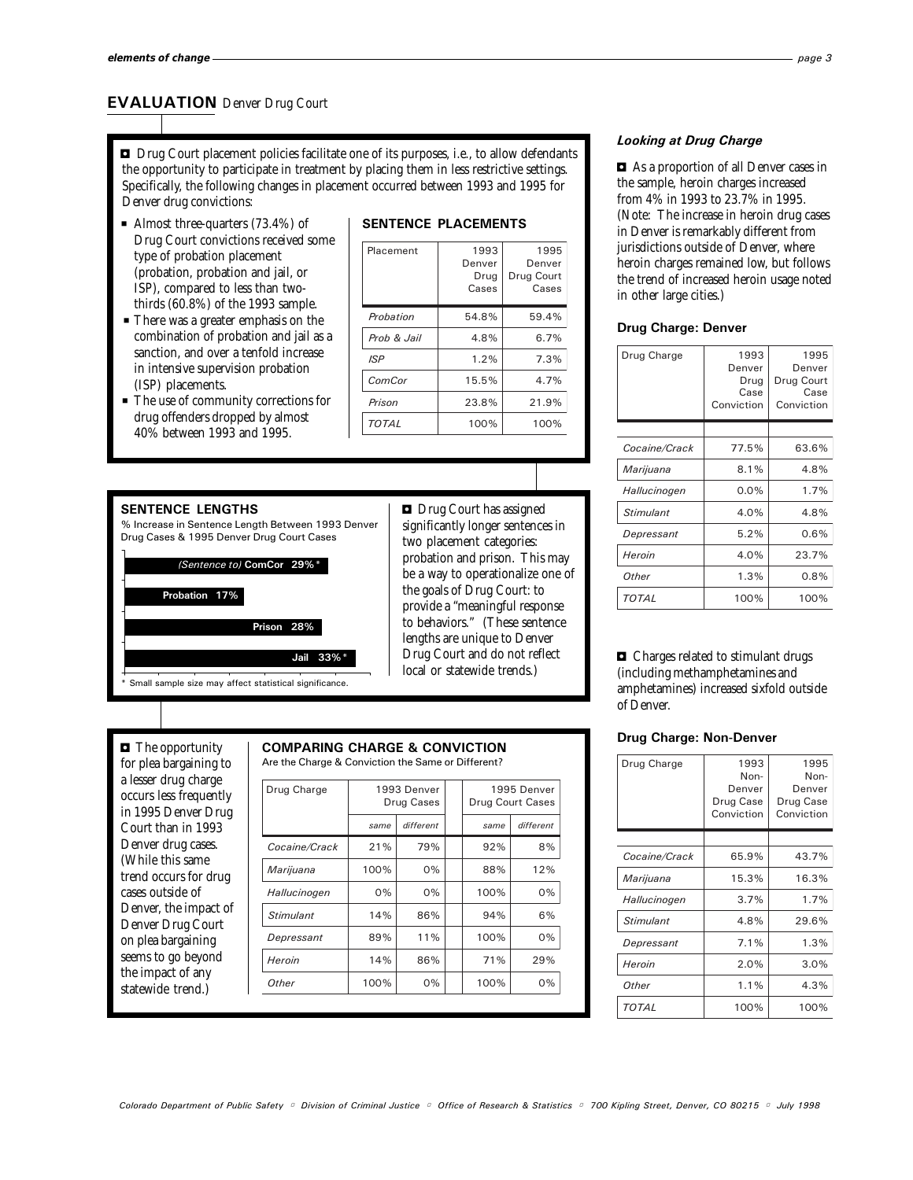#### EVALUATION Denver Drug Court

 $\blacksquare$  Drug Court placement policies facilitate one of its purposes, i.e., to allow defendants the opportunity to participate in treatment by placing them in less restrictive settings. Specifically, the following changes in placement occurred between 1993 and 1995 for Denver drug convictions:

- Almost three-quarters  $(73.4\%)$  of Drug Court convictions received some type of probation placement (probation, probation and jail, or ISP), compared to less than twothirds (60.8%) of the 1993 sample.
- **P** There was a greater emphasis on the combination of probation and jail as a sanction, and over a tenfold increase in intensive supervision probation (ISP) placements.
- The use of community corrections for drug offenders dropped by almost 40% between 1993 and 1995.

#### SENTENCE PLACEMENTS

| Placement    | 1993<br>Denver<br>Drug<br>Cases | 1995<br>Denver<br>Drug Court<br>Cases |
|--------------|---------------------------------|---------------------------------------|
| Probation    | 54.8%                           | 59.4%                                 |
| Prob & Jail  | 4.8%                            | 6.7%                                  |
| <b>ISP</b>   | 1.2%                            | 7.3%                                  |
| ComCor       | 15.5%                           | 4.7%                                  |
| Prison       | 23.8%                           | 21.9%                                 |
| <b>TOTAL</b> | 100%                            | 100%                                  |

#### SENTENCE LENGTHS

% Increase in Sentence Length Between 1993 Denver Drug Cases & 1995 Denver Drug Court Cases

(Sentence to) ComCor 29%\*



 $\Box$  Drug Court has assigned significantly longer sentences in two placement categories: probation and prison. This may be a way to operationalize one of the goals of Drug Court: to provide a "meaningful response to behaviors." (These sentence lengths are unique to Denver Drug Court and do not reflect local or statewide trends.)

#### $\blacksquare$  The opportunity for plea bargaining to a lesser drug charge occurs less frequently in 1995 Denver Drug Court than in 1993 Denver drug cases. (While this same trend occurs for drug cases outside of Denver, the impact of Denver Drug Court on plea bargaining seems to go beyond the impact of any statewide trend.)

#### COMPARING CHARGE & CONVICTION

Are the Charge & Conviction the Same or Different?

| Drug Charge   | 1993 Denver<br>Drug Cases |           | 1995 Denver<br>Drug Court Cases |           |
|---------------|---------------------------|-----------|---------------------------------|-----------|
|               | same                      | different | same                            | different |
| Cocaine/Crack | 21%                       | 79%       | 92%                             | 8%        |
| Marijuana     | 100%                      | 0%        | 88%                             | 12%       |
| Hallucinogen  | 0%                        | 0%        | 100%                            | 0%        |
| Stimulant     | 14%                       | 86%       | 94%                             | 6%        |
| Depressant    | 89%                       | 11%       | 100%                            | 0%        |
| Heroin        | 14%                       | 86%       | 71%                             | 29%       |
| Other         | 100%                      | 0%        | 100%                            | 0%        |

#### Looking at Drug Charge

 $\blacksquare$  As a proportion of all Denver cases in the sample, heroin charges increased from 4% in 1993 to 23.7% in 1995. (Note: The increase in heroin drug cases in Denver is remarkably different from jurisdictions outside of Denver, where heroin charges remained low, but follows the trend of increased heroin usage noted in other large cities.)

#### Drug Charge: Denver

| Drug Charge   | 1993<br>Denver<br>Drug<br>Case<br>Conviction | 1995<br>Denver<br>Drug Court<br>Case<br>Conviction |
|---------------|----------------------------------------------|----------------------------------------------------|
|               |                                              |                                                    |
| Cocaine/Crack | 77.5%                                        | 63.6%                                              |
| Marijuana     | 8.1%                                         | 4.8%                                               |
| Hallucinogen  | 0.0%                                         | 1.7%                                               |
| Stimulant     | 4.0%                                         | 4.8%                                               |
| Depressant    | 5.2%                                         | 0.6%                                               |
| Heroin        | 4.0%                                         | 23.7%                                              |
| Other         | 1.3%                                         | 0.8%                                               |
| TOTAL         | 100%                                         | 100%                                               |

 $\Box$  Charges related to stimulant drugs (including methamphetamines and amphetamines) increased sixfold outside of Denver.

#### Drug Charge: Non-Denver

| Drug Charge      | 1993<br>Non-<br>Denver<br>Drug Case<br>Conviction | 1995<br>Non-<br>Denver<br>Drug Case<br>Conviction |
|------------------|---------------------------------------------------|---------------------------------------------------|
|                  |                                                   |                                                   |
| Cocaine/Crack    | 65.9%                                             | 43.7%                                             |
| Marijuana        | 15.3%                                             | 16.3%                                             |
| Hallucinogen     | 3.7%                                              | 1.7%                                              |
| <b>Stimulant</b> | 4.8%                                              | 29.6%                                             |
| Depressant       | 7.1%                                              | 1.3%                                              |
| Heroin           | 2.0%                                              | 3.0%                                              |
| Other            | 1.1%                                              | 4.3%                                              |
| TOTAL            | 100%                                              | 100%                                              |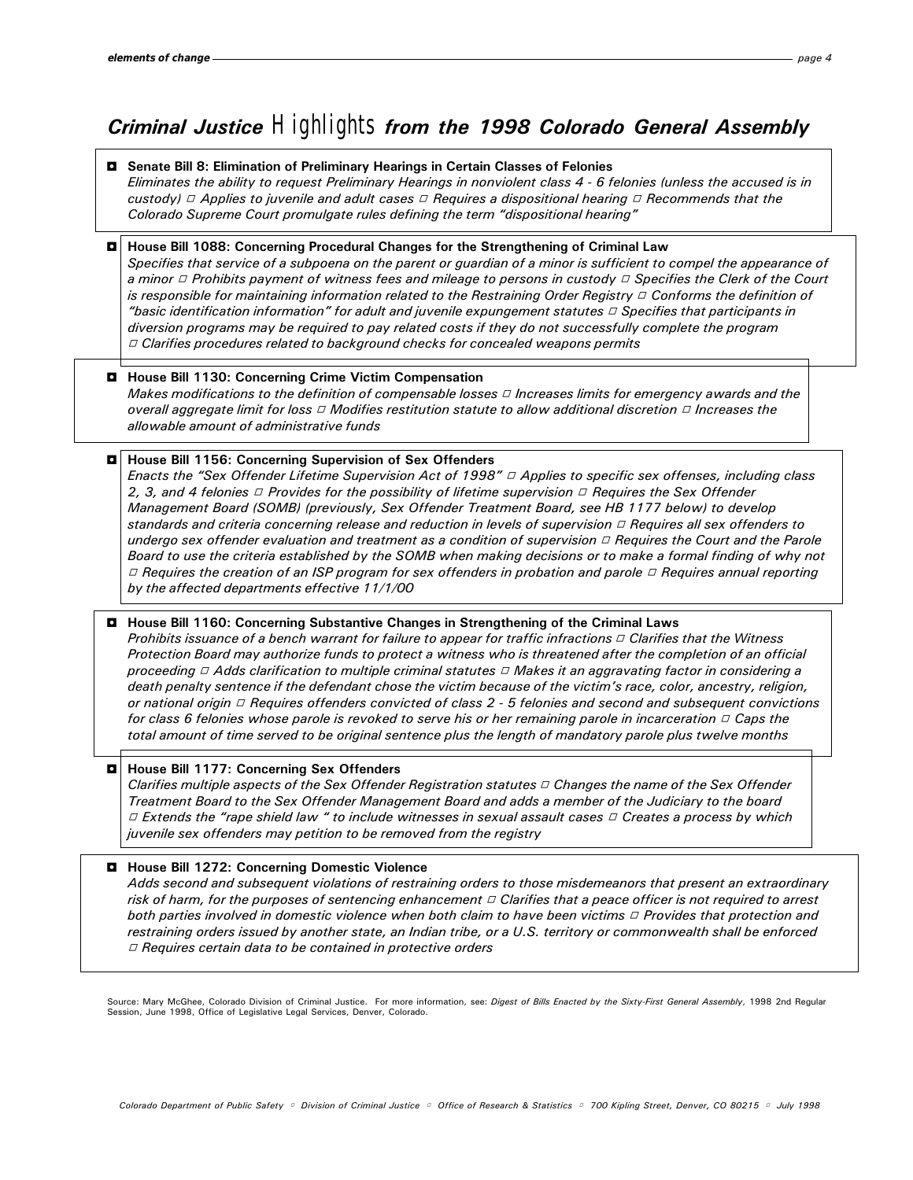### Criminal Justice *Highlights* from the 1998 Colorado General Assembly

#### 3 Senate Bill 8: Elimination of Preliminary Hearings in Certain Classes of Felonies

Eliminates the ability to request Preliminary Hearings in nonviolent class 4 - 6 felonies (unless the accused is in custody)  $\Box$  Applies to juvenile and adult cases  $\Box$  Requires a dispositional hearing  $\Box$  Recommends that the Colorado Supreme Court promulgate rules defining the term "dispositional hearing"

#### 3 House Bill 1088: Concerning Procedural Changes for the Strengthening of Criminal Law

Specifies that service of a subpoena on the parent or guardian of a minor is sufficient to compel the appearance of a minor  $\Box$  Prohibits payment of witness fees and mileage to persons in custody  $\Box$  Specifies the Clerk of the Court is responsible for maintaining information related to the Restraining Order Registry  $\Box$  Conforms the definition of "basic identification information" for adult and juvenile expungement statutes  $\vartriangle$  Specifies that participants in diversion programs may be required to pay related costs if they do not successfully complete the program  $\Box$  Clarifies procedures related to background checks for concealed weapons permits

#### 3 House Bill 1130: Concerning Crime Victim Compensation

Makes modifications to the definition of compensable losses  $\Box$  Increases limits for emergency awards and the overall aggregate limit for loss  $\Box$  Modifies restitution statute to allow additional discretion  $\Box$  Increases the allowable amount of administrative funds

#### 3 House Bill 1156: Concerning Supervision of Sex Offenders

Enacts the "Sex Offender Lifetime Supervision Act of 1998"  $\Box$  Applies to specific sex offenses, including class 2, 3, and 4 felonies  $\Box$  Provides for the possibility of lifetime supervision  $\Box$  Requires the Sex Offender Management Board (SOMB) (previously, Sex Offender Treatment Board, see HB 1177 below) to develop standards and criteria concerning release and reduction in levels of supervision  $\Box$  Requires all sex offenders to undergo sex offender evaluation and treatment as a condition of supervision  $\Box$  Requires the Court and the Parole Board to use the criteria established by the SOMB when making decisions or to make a formal finding of why not  $\Box$  Requires the creation of an ISP program for sex offenders in probation and parole  $\Box$  Requires annual reporting by the affected departments effective 11/1/00

#### 3 House Bill 1160: Concerning Substantive Changes in Strengthening of the Criminal Laws

Prohibits issuance of a bench warrant for failure to appear for traffic infractions  $\Box$  Clarifies that the Witness Protection Board may authorize funds to protect a witness who is threatened after the completion of an official proceeding  $\Box$  Adds clarification to multiple criminal statutes  $\Box$  Makes it an aggravating factor in considering a death penalty sentence if the defendant chose the victim because of the victim's race, color, ancestry, religion, or national origin  $\Box$  Requires offenders convicted of class 2 - 5 felonies and second and subsequent convictions for class 6 felonies whose parole is revoked to serve his or her remaining parole in incarceration  $\Box$  Caps the total amount of time served to be original sentence plus the length of mandatory parole plus twelve months

#### $\blacksquare$  House Bill 1177: Concerning Sex Offenders

Clarifies multiple aspects of the Sex Offender Registration statutes  $\vartriangle$  Changes the name of the Sex Offender Treatment Board to the Sex Offender Management Board and adds a member of the Judiciary to the board  $\Box$  Extends the "rape shield law " to include witnesses in sexual assault cases  $\Box$  Creates a process by which juvenile sex offenders may petition to be removed from the registry

#### 3 House Bill 1272: Concerning Domestic Violence

Adds second and subsequent violations of restraining orders to those misdemeanors that present an extraordinary risk of harm, for the purposes of sentencing enhancement  $\Box$  Clarifies that a peace officer is not required to arrest both parties involved in domestic violence when both claim to have been victims  $\Box$  Provides that protection and restraining orders issued by another state, an Indian tribe, or a U.S. territory or commonwealth shall be enforced  $\Box$  Requires certain data to be contained in protective orders

Source: Mary McGhee, Colorado Division of Criminal Justice. For more information, see: Digest of Bills Enacted by the Sixty-First General Assembly, 1998 2nd Regular Session, June 1998, Office of Legislative Legal Services, Denver, Colorado.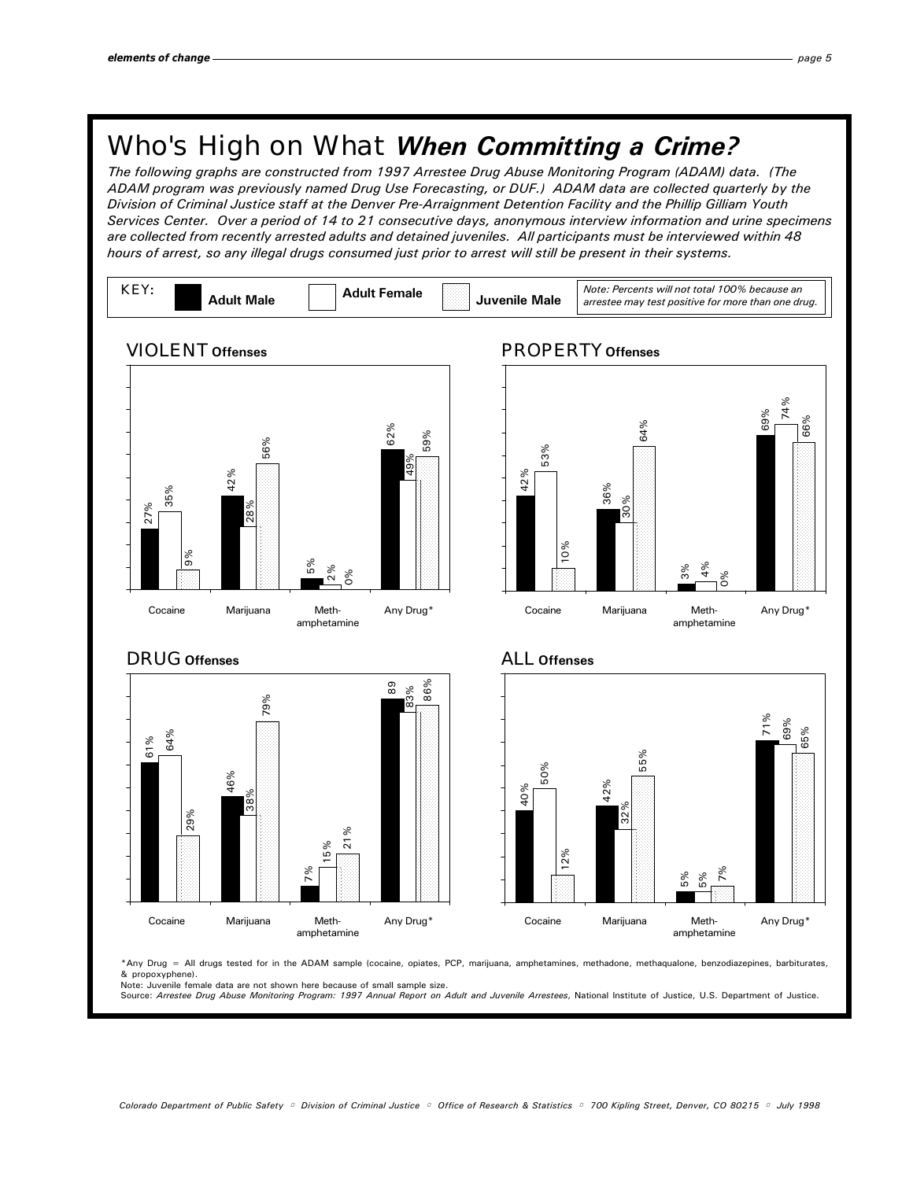## Who's High on What When Committing a Crime?

The following graphs are constructed from 1997 Arrestee Drug Abuse Monitoring Program (ADAM) data. (The ADAM program was previously named Drug Use Forecasting, or DUF.) ADAM data are collected quarterly by the Division of Criminal Justice staff at the Denver Pre-Arraignment Detention Facility and the Phillip Gilliam Youth Services Center. Over a period of 14 to 21 consecutive days, anonymous interview information and urine specimens are collected from recently arrested adults and detained juveniles. All participants must be interviewed within 48 hours of arrest, so any illegal drugs consumed just prior to arrest will still be present in their systems.



\*Any Drug = All drugs tested for in the ADAM sample (cocaine, opiates, PCP, marijuana, amphetamines, methadone, methaqualone, benzodiazepines, barbiturates, & propoxyphene). Note: Juvenile female data are not shown here because of small sample size.

Source: Arrestee Drug Abuse Monitoring Program: 1997 Annual Report on Adult and Juvenile Arrestees, National Institute of Justice, U.S. Department of Justice.